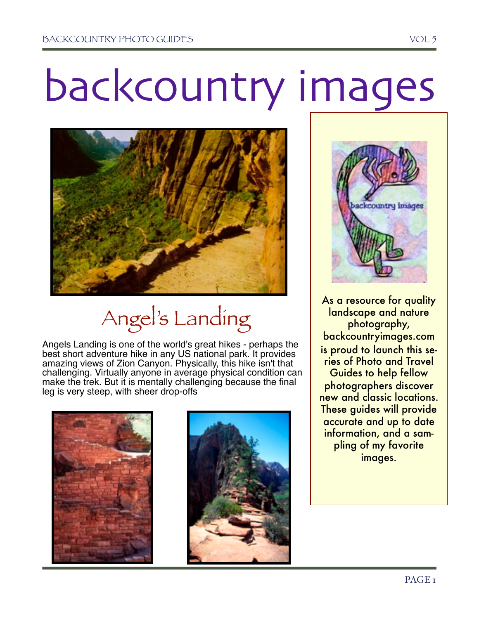# backcountry images



# Angel's Landing

Angels Landing is one of the world's great hikes - perhaps the best short adventure hike in any US national park. It provides amazing views of Zion Canyon. Physically, this hike isn't that challenging. Virtually anyone in average physical condition can make the trek. But it is mentally challenging because the final leg is very steep, with sheer drop-offs







As a resource for quality landscape and nature photography, backcountryimages.com is proud to launch this series of Photo and Travel Guides to help fellow photographers discover new and classic locations. These guides will provide accurate and up to date information, and a sampling of my favorite images.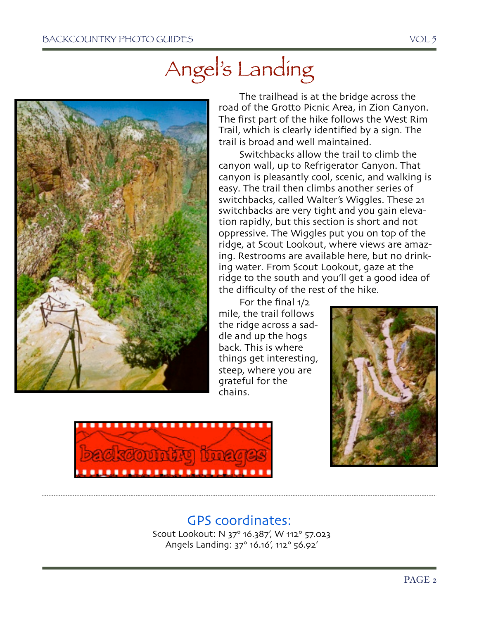## Angel's Landing



The trailhead is at the bridge across the road of the Grotto Picnic Area, in Zion Canyon. The first part of the hike follows the West Rim Trail, which is clearly identified by a sign. The trail is broad and well maintained.

Switchbacks allow the trail to climb the canyon wall, up to Refrigerator Canyon. That canyon is pleasantly cool, scenic, and walking is easy. The trail then climbs another series of switchbacks, called Walter's Wiggles. These 21 switchbacks are very tight and you gain elevation rapidly, but this section is short and not oppressive. The Wiggles put you on top of the ridge, at Scout Lookout, where views are amazing. Restrooms are available here, but no drinking water. From Scout Lookout, gaze at the ridge to the south and you'll get a good idea of the difficulty of the rest of the hike.

For the final 1/2 mile, the trail follows the ridge across a saddle and up the hogs back. This is where things get interesting, steep, where you are grateful for the chains.





### GPS coordinates:

 Scout Lookout: N 37° 16.387', W 112° 57.023 Angels Landing: 37° 16.16', 112° 56.92'